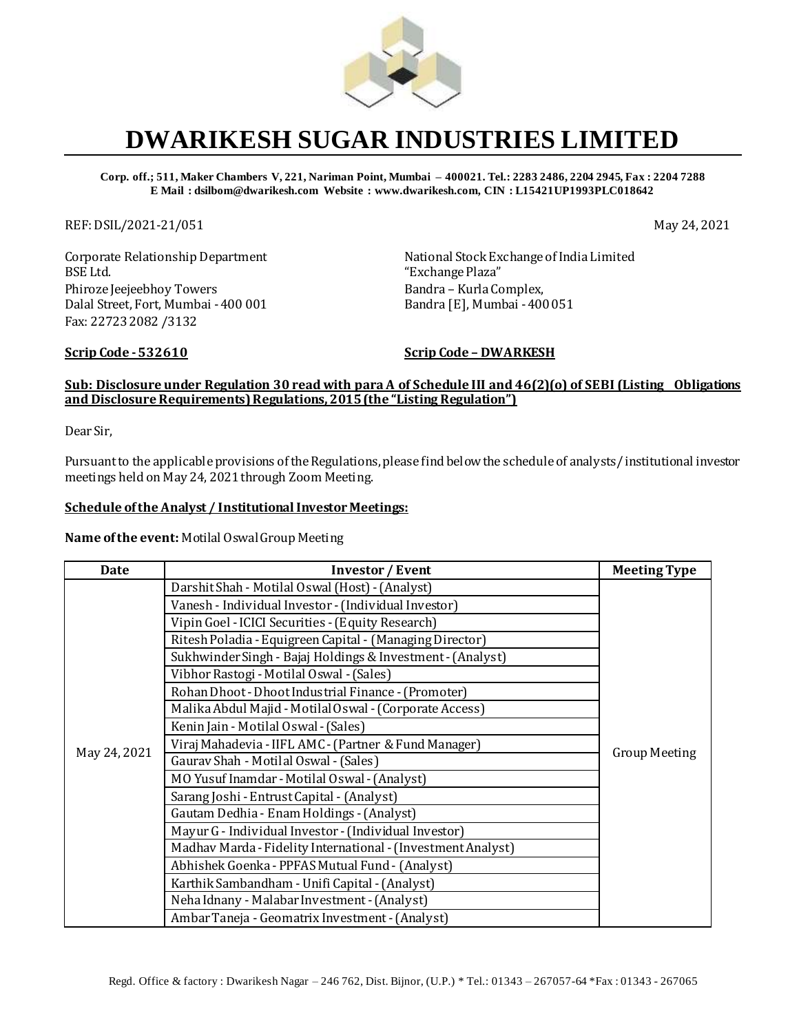

## **DWARIKESH SUGAR INDUSTRIES LIMITED**

**Corp. off.; 511, Maker Chambers V, 221, Nariman Point, Mumbai – 400021. Tel.: 2283 2486, 2204 2945, Fax : 2204 7288 E Mail : dsilbom@dwarikesh.com Website : www.dwarikesh.com, CIN : L15421UP1993PLC018642**

REF: DSIL/2021-21/051 May 24, 2021

Corporate Relationship Department BSE Ltd. Phiroze Jeejeebhoy Towers Dalal Street, Fort, Mumbai -400 001 Fax: 22723 2082 /3132

National Stock Exchange of India Limited "Exchange Plaza" Bandra – Kurla Complex, Bandra [E], Mumbai -400 051

**Scrip Code -532610 Scrip Code – DWARKESH**

## **Sub: Disclosure under Regulation 30 read with para A of Schedule III and 46(2)(o) of SEBI (Listing Obligations and Disclosure Requirements) Regulations, 2015 (the "Listing Regulation")**

Dear Sir,

Pursuant to the applicable provisions of the Regulations, please find below the schedule of analysts/ institutional investor meetings held on May 24, 2021 through Zoom Meeting.

## **Schedule of the Analyst / Institutional Investor Meetings:**

**Name of the event:** Motilal Oswal Group Meeting

| Date         | <b>Investor / Event</b>                                      | <b>Meeting Type</b>  |
|--------------|--------------------------------------------------------------|----------------------|
| May 24, 2021 | Darshit Shah - Motilal Oswal (Host) - (Analyst)              | <b>Group Meeting</b> |
|              | Vanesh - Individual Investor - (Individual Investor)         |                      |
|              | Vipin Goel - ICICI Securities - (Equity Research)            |                      |
|              | Ritesh Poladia - Equigreen Capital - (Managing Director)     |                      |
|              | Sukhwinder Singh - Bajaj Holdings & Investment - (Analyst)   |                      |
|              | Vibhor Rastogi - Motilal Oswal - (Sales)                     |                      |
|              | Rohan Dhoot - Dhoot Industrial Finance - (Promoter)          |                      |
|              | Malika Abdul Majid - Motilal Oswal - (Corporate Access)      |                      |
|              | Kenin Jain - Motilal Oswal - (Sales)                         |                      |
|              | Viraj Mahadevia - IIFL AMC - (Partner & Fund Manager)        |                      |
|              | Gaurav Shah - Motilal Oswal - (Sales)                        |                      |
|              | MO Yusuf Inamdar - Motilal Oswal - (Analyst)                 |                      |
|              | Sarang Joshi - Entrust Capital - (Analyst)                   |                      |
|              | Gautam Dedhia - Enam Holdings - (Analyst)                    |                      |
|              | Mayur G - Individual Investor - (Individual Investor)        |                      |
|              | Madhav Marda - Fidelity International - (Investment Analyst) |                      |
|              | Abhishek Goenka - PPFAS Mutual Fund - (Analyst)              |                      |
|              | Karthik Sambandham - Unifi Capital - (Analyst)               |                      |
|              | Neha Idnany - Malabar Investment - (Analyst)                 |                      |
|              | Ambar Taneja - Geomatrix Investment - (Analyst)              |                      |